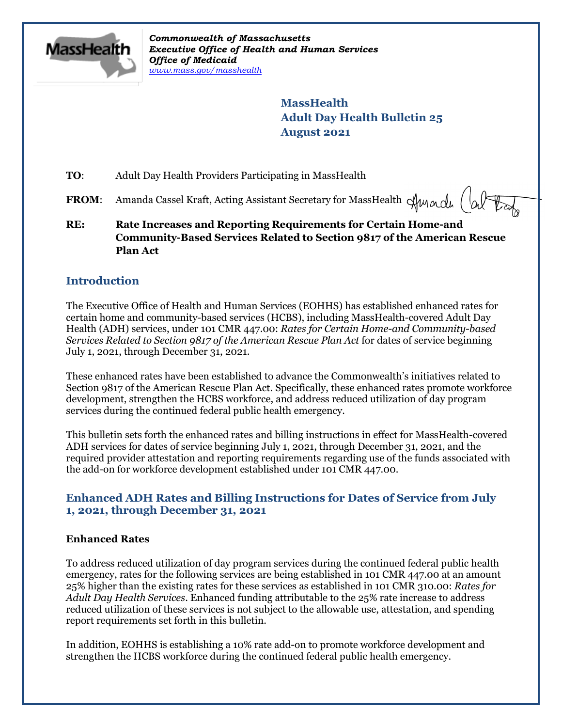

*Commonwealth of Massachusetts Executive Office of Health and Human Services Office of Medicaid [www.mass.gov/masshealth](http://www.mass.gov/masshealth)*

> **MassHealth Adult Day Health Bulletin 25 August 2021**

**TO**: Adult Day Health Providers Participating in MassHealth

FROM: Amanda Cassel Kraft, Acting Assistant Secretary for MassHealth Aunacle (alter

**RE: Rate Increases and Reporting Requirements for Certain Home-and Community-Based Services Related to Section 9817 of the American Rescue Plan Act**

## **Introduction**

The Executive Office of Health and Human Services (EOHHS) has established enhanced rates for certain home and community-based services (HCBS), including MassHealth-covered Adult Day Health (ADH) services, under 101 CMR 447.00: *Rates for Certain Home-and Community-based Services Related to Section 9817 of the American Rescue Plan Act* for dates of service beginning July 1, 2021, through December 31, 2021.

These enhanced rates have been established to advance the Commonwealth's initiatives related to Section 9817 of the American Rescue Plan Act. Specifically, these enhanced rates promote workforce development, strengthen the HCBS workforce, and address reduced utilization of day program services during the continued federal public health emergency.

This bulletin sets forth the enhanced rates and billing instructions in effect for MassHealth-covered ADH services for dates of service beginning July 1, 2021, through December 31, 2021, and the required provider attestation and reporting requirements regarding use of the funds associated with the add-on for workforce development established under 101 CMR 447.00.

## **Enhanced ADH Rates and Billing Instructions for Dates of Service from July 1, 2021, through December 31, 2021**

#### **Enhanced Rates**

To address reduced utilization of day program services during the continued federal public health emergency, rates for the following services are being established in 101 CMR 447.00 at an amount 25% higher than the existing rates for these services as established in 101 CMR 310.00: *Rates for Adult Day Health Services*. Enhanced funding attributable to the 25% rate increase to address reduced utilization of these services is not subject to the allowable use, attestation, and spending report requirements set forth in this bulletin.

In addition, EOHHS is establishing a 10% rate add-on to promote workforce development and strengthen the HCBS workforce during the continued federal public health emergency.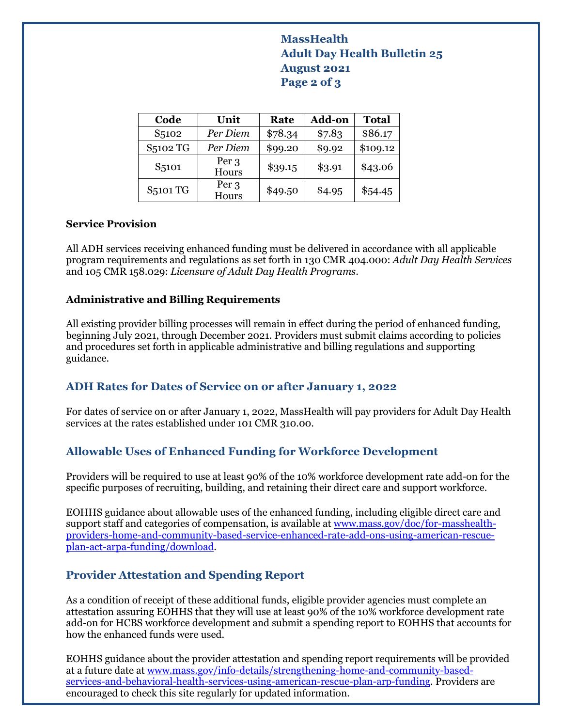# **MassHealth Adult Day Health Bulletin 25 August 2021 Page 2 of 3**

| Code               | Unit           | Rate    | <b>Add-on</b> | <b>Total</b> |
|--------------------|----------------|---------|---------------|--------------|
| S <sub>5</sub> 102 | Per Diem       | \$78.34 | \$7.83        | \$86.17      |
| S5102 TG           | Per Diem       | \$99.20 | \$9.92        | \$109.12     |
| S <sub>5</sub> 101 | Per 3<br>Hours | \$39.15 | \$3.91        | \$43.06      |
| <b>S5101 TG</b>    | Per 3<br>Hours | \$49.50 | \$4.95        | \$54.45      |

#### **Service Provision**

All ADH services receiving enhanced funding must be delivered in accordance with all applicable program requirements and regulations as set forth in 130 CMR 404.000: *Adult Day Health Services* and 105 CMR 158.029: *Licensure of Adult Day Health Programs*.

#### **Administrative and Billing Requirements**

All existing provider billing processes will remain in effect during the period of enhanced funding, beginning July 2021, through December 2021. Providers must submit claims according to policies and procedures set forth in applicable administrative and billing regulations and supporting guidance.

# **ADH Rates for Dates of Service on or after January 1, 2022**

For dates of service on or after January 1, 2022, MassHealth will pay providers for Adult Day Health services at the rates established under 101 CMR 310.00.

### **Allowable Uses of Enhanced Funding for Workforce Development**

Providers will be required to use at least 90% of the 10% workforce development rate add-on for the specific purposes of recruiting, building, and retaining their direct care and support workforce.

EOHHS guidance about allowable uses of the enhanced funding, including eligible direct care and support staff and categories of compensation, is available a[t www.mass.gov/doc/for-masshealth](http://www.mass.gov/doc/for-masshealth-providers-home-and-community-based-service-enhanced-rate-add-ons-using-american-rescue-plan-act-arpa-funding/download)[providers-home-and-community-based-service-enhanced-rate-add-ons-using-american-rescue](http://www.mass.gov/doc/for-masshealth-providers-home-and-community-based-service-enhanced-rate-add-ons-using-american-rescue-plan-act-arpa-funding/download)[plan-act-arpa-funding/download.](http://www.mass.gov/doc/for-masshealth-providers-home-and-community-based-service-enhanced-rate-add-ons-using-american-rescue-plan-act-arpa-funding/download)

# **Provider Attestation and Spending Report**

As a condition of receipt of these additional funds, eligible provider agencies must complete an attestation assuring EOHHS that they will use at least 90% of the 10% workforce development rate add-on for HCBS workforce development and submit a spending report to EOHHS that accounts for how the enhanced funds were used.

EOHHS guidance about the provider attestation and spending report requirements will be provided at a future date at [www.mass.gov/info-details/strengthening-home-and-community-based](http://www.mass.gov/info-details/strengthening-home-and-community-based-services-and-behavioral-health-services-using-american-rescue-plan-arp-funding)[services-and-behavioral-health-services-using-american-rescue-plan-arp-funding.](http://www.mass.gov/info-details/strengthening-home-and-community-based-services-and-behavioral-health-services-using-american-rescue-plan-arp-funding) Providers are encouraged to check this site regularly for updated information.